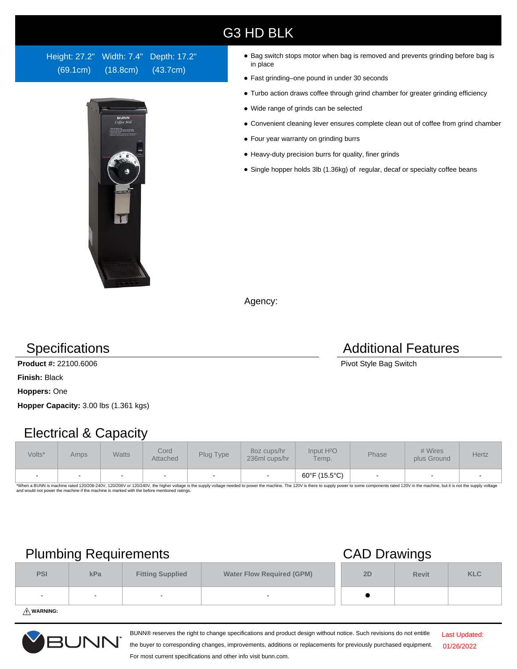### G3 HD BLK

Height: 27.2" Width: 7.4" Depth: 17.2" (69.1cm) (18.8cm) (43.7cm)



- Bag switch stops motor when bag is removed and prevents grinding before bag is in place
- Fast grinding–one pound in under 30 seconds
- Turbo action draws coffee through grind chamber for greater grinding efficiency
- Wide range of grinds can be selected
- Convenient cleaning lever ensures complete clean out of coffee from grind chamber
- Four year warranty on grinding burrs
- Heavy-duty precision burrs for quality, finer grinds
- Single hopper holds 3lb (1.36kg) of regular, decaf or specialty coffee beans

Agency:

**Product #:** 22100.6006 **Pivot Style Bag Switch** 

**Finish:** Black

**Hoppers:** One

**Hopper Capacity:** 3.00 lbs (1.361 kgs)

## Electrical & Capacity

| Volts* | <b>Amps</b> | <b>Watts</b>             | Cord<br>Attached | Plug Type | 8oz cups/hr<br>236ml cups/hr | Input H <sup>2</sup> O<br>Temp. | Phase | # Wires<br>plus Ground   | Hertz |
|--------|-------------|--------------------------|------------------|-----------|------------------------------|---------------------------------|-------|--------------------------|-------|
| $\sim$ | -           | $\overline{\phantom{a}}$ |                  |           |                              | 60°F (15.5°C)                   |       | $\overline{\phantom{a}}$ |       |

\*When a BUNN is machine rated 120/208-240V, 120/208V or 120/240V, the higher voltage is the supply voltage needed to power the machine. The 120V is there to supply power to some components rated 120V in the machine, but it

## Plumbing Requirements CAD Drawings

|            | _                        |                         | --                               |    |              |            |
|------------|--------------------------|-------------------------|----------------------------------|----|--------------|------------|
| <b>PSI</b> | kPa                      | <b>Fitting Supplied</b> | <b>Water Flow Required (GPM)</b> | 2D | <b>Revit</b> | <b>KLC</b> |
| $\sim$     | $\overline{\phantom{0}}$ |                         | $\overline{\phantom{a}}$         |    |              |            |
|            |                          |                         |                                  |    |              |            |

For most current specifications and other info visit bunn.com.

**WARNING:**



BUNN® reserves the right to change specifications and product design without notice. Such revisions do not entitle the buyer to corresponding changes, improvements, additions or replacements for previously purchased equipment.

Last Updated: 01/26/2022

### **Specifications Additional Features**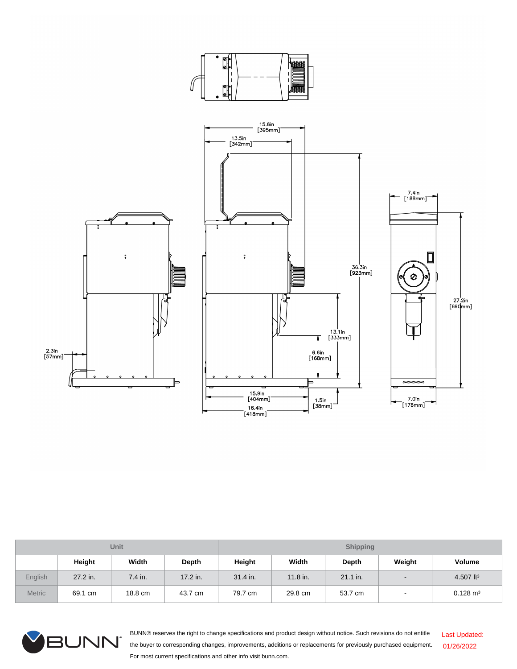

| <b>Unit</b>   |          |         |          | <b>Shipping</b> |          |          |                          |                       |  |
|---------------|----------|---------|----------|-----------------|----------|----------|--------------------------|-----------------------|--|
|               | Height   | Width   | Depth    | Height          | Width    | Depth    | Weight                   | <b>Volume</b>         |  |
| English       | 27.2 in. | 7.4 in. | 17.2 in. | 31.4 in.        | 11.8 in. | 21.1 in. | $\overline{\phantom{a}}$ | 4.507 ft <sup>3</sup> |  |
| <b>Metric</b> | 69.1 cm  | 18.8 cm | 43.7 cm  | 79.7 cm         | 29.8 cm  | 53.7 cm  |                          | $0.128 \text{ m}^3$   |  |



BUNN® reserves the right to change specifications and product design without notice. Such revisions do not entitle the buyer to corresponding changes, improvements, additions or replacements for previously purchased equipment. For most current specifications and other info visit bunn.com. Last Updated: 01/26/2022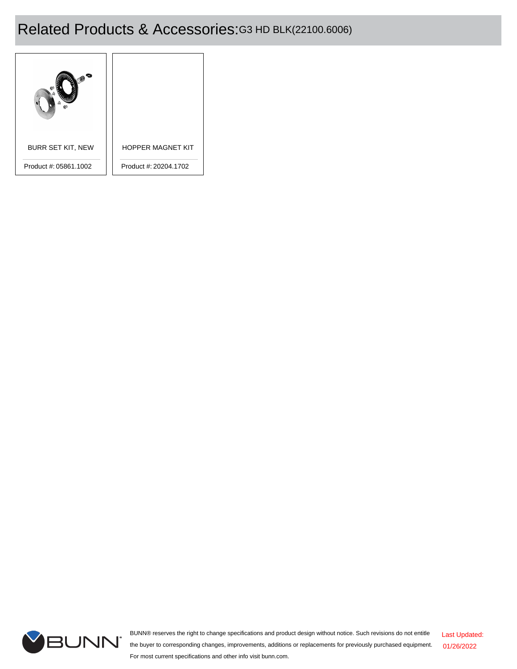# Related Products & Accessories:G3 HD BLK(22100.6006)